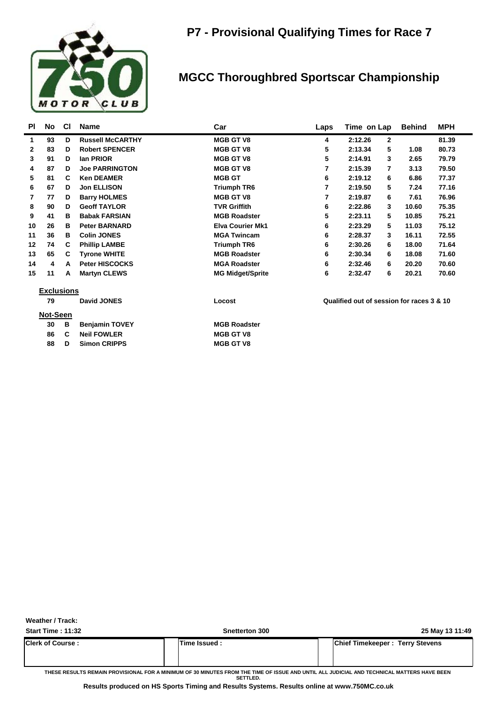

#### **MGCC Thoroughbred Sportscar Championship**

| <b>PI</b>    | No                | <b>CI</b> | <b>Name</b>             | Car                     | Laps | Time on Lap                               | <b>Behind</b> | <b>MPH</b> |
|--------------|-------------------|-----------|-------------------------|-------------------------|------|-------------------------------------------|---------------|------------|
| 1            | 93                | D         | <b>Russell McCARTHY</b> | <b>MGB GT V8</b>        | 4    | 2:12.26<br>2                              |               | 81.39      |
| $\mathbf{2}$ | 83                | D         | <b>Robert SPENCER</b>   | <b>MGB GT V8</b>        | 5    | 2:13.34<br>5                              | 1.08          | 80.73      |
| 3            | 91                | D         | lan PRIOR               | <b>MGB GT V8</b>        | 5    | 2:14.91<br>3                              | 2.65          | 79.79      |
| 4            | 87                | D         | <b>Joe PARRINGTON</b>   | <b>MGB GT V8</b>        | 7    | 2:15.39<br>7                              | 3.13          | 79.50      |
| 5            | 81                | C         | <b>Ken DEAMER</b>       | <b>MGB GT</b>           | 6    | 2:19.12<br>6                              | 6.86          | 77.37      |
| 6            | 67                | D         | <b>Jon ELLISON</b>      | <b>Triumph TR6</b>      | 7    | 2:19.50<br>5                              | 7.24          | 77.16      |
| 7            | 77                | D         | <b>Barry HOLMES</b>     | <b>MGB GT V8</b>        | 7    | 2:19.87<br>6                              | 7.61          | 76.96      |
| 8            | 90                | D         | <b>Geoff TAYLOR</b>     | <b>TVR Griffith</b>     | 6    | 2:22.86<br>3                              | 10.60         | 75.35      |
| 9            | 41                | в         | <b>Babak FARSIAN</b>    | <b>MGB Roadster</b>     | 5    | 2:23.11<br>5                              | 10.85         | 75.21      |
| 10           | 26                | в         | <b>Peter BARNARD</b>    | <b>Elva Courier Mk1</b> | 6    | 2:23.29<br>5                              | 11.03         | 75.12      |
| 11           | 36                | в         | <b>Colin JONES</b>      | <b>MGA Twincam</b>      | 6    | 2:28.37<br>3                              | 16.11         | 72.55      |
| 12           | 74                | C         | <b>Phillip LAMBE</b>    | <b>Triumph TR6</b>      | 6    | 2:30.26<br>6                              | 18.00         | 71.64      |
| 13           | 65                | C.        | <b>Tyrone WHITE</b>     | <b>MGB Roadster</b>     | 6    | 2:30.34<br>6                              | 18.08         | 71.60      |
| 14           | 4                 | A         | <b>Peter HISCOCKS</b>   | <b>MGA Roadster</b>     | 6    | 2:32.46<br>6                              | 20.20         | 70.60      |
| 15           | 11                | A         | <b>Martyn CLEWS</b>     | <b>MG Midget/Sprite</b> | 6    | 2:32.47<br>6                              | 20.21         | 70.60      |
|              | <b>Exclusions</b> |           |                         |                         |      |                                           |               |            |
|              | 79                |           | David JONES             | Locost                  |      | Qualified out of session for races 3 & 10 |               |            |
|              | Not-Seen          |           |                         |                         |      |                                           |               |            |
|              | 30                | В         | <b>Benjamin TOVEY</b>   | <b>MGB Roadster</b>     |      |                                           |               |            |
|              | 86                | C         | <b>Neil FOWLER</b>      | <b>MGB GT V8</b>        |      |                                           |               |            |
|              | 88                | D         | <b>Simon CRIPPS</b>     | <b>MGB GT V8</b>        |      |                                           |               |            |

**Weather / Track:** 

| <b>Chief Timekeeper: Terry Stevens</b><br>Time Issued: | <b>Start Time: 11:32</b> | <b>Snetterton 300</b> | 25 May 13 11:49 |
|--------------------------------------------------------|--------------------------|-----------------------|-----------------|
|                                                        | <b>Clerk of Course:</b>  |                       |                 |

**THESE RESULTS REMAIN PROVISIONAL FOR A MINIMUM OF 30 MINUTES FROM THE TIME OF ISSUE AND UNTIL ALL JUDICIAL AND TECHNICAL MATTERS HAVE BEEN SETTLED.**

**Results produced on HS Sports Timing and Results Systems. Results online at www.750MC.co.uk**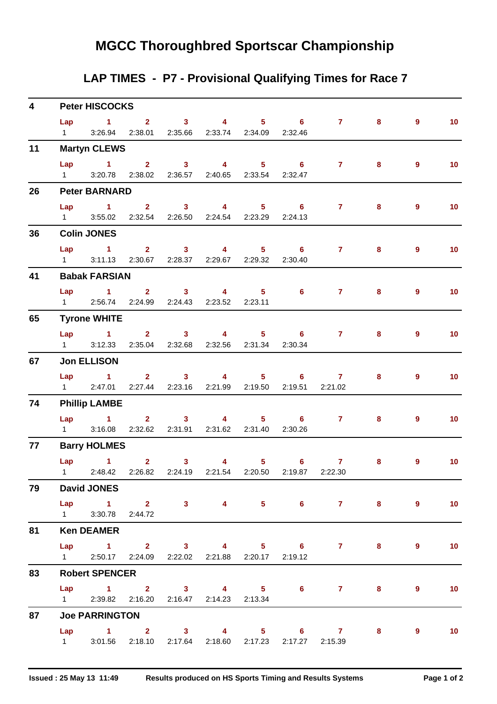## **MGCC Thoroughbred Sportscar Championship**

### **LAP TIMES - P7 - Provisional Qualifying Times for Race 7**

| $\overline{\mathbf{4}}$ |                       | <b>Peter HISCOCKS</b> |                                                           |  |  |  |  |                                                                          |   |                |                   |  |
|-------------------------|-----------------------|-----------------------|-----------------------------------------------------------|--|--|--|--|--------------------------------------------------------------------------|---|----------------|-------------------|--|
|                         | $1 \quad \Box$        |                       | 3:26.94  2:38.01  2:35.66  2:33.74  2:34.09  2:32.46      |  |  |  |  | Lap 1 2 3 4 5 6 7 8                                                      |   | 9              | $-10$             |  |
| 11                      |                       | <b>Martyn CLEWS</b>   |                                                           |  |  |  |  |                                                                          |   |                |                   |  |
|                         | Lap                   |                       |                                                           |  |  |  |  | $1 \qquad 2 \qquad 3 \qquad 4 \qquad 5 \qquad 6 \qquad 7 \qquad 8$       |   | $9^{\circ}$    | 10                |  |
|                         | $1 \quad \Box$        |                       | 3:20.78 2:38.02 2:36.57 2:40.65 2:33.54 2:32.47           |  |  |  |  |                                                                          |   |                |                   |  |
| 26                      |                       | <b>Peter BARNARD</b>  |                                                           |  |  |  |  |                                                                          |   |                |                   |  |
|                         |                       |                       |                                                           |  |  |  |  | Lap 1 2 3 4 5 6 7                                                        | 8 | 9              | 10                |  |
|                         |                       |                       | 1 3:55.02 2:32.54 2:26.50 2:24.54 2:23.29 2:24.13         |  |  |  |  |                                                                          |   |                |                   |  |
| 36                      |                       | <b>Colin JONES</b>    |                                                           |  |  |  |  |                                                                          |   |                |                   |  |
|                         |                       |                       | Lap 1 2 3 4 5 6                                           |  |  |  |  | $7 \pm 1$                                                                | 8 | $\overline{9}$ | 10 <sub>1</sub>   |  |
|                         |                       |                       | 1 3:11.13 2:30.67 2:28.37 2:29.67 2:29.32 2:30.40         |  |  |  |  |                                                                          |   |                |                   |  |
| 41                      |                       | <b>Babak FARSIAN</b>  |                                                           |  |  |  |  |                                                                          |   |                |                   |  |
|                         |                       |                       |                                                           |  |  |  |  | Lap 1 2 3 4 5 6 7                                                        | 8 | $9^{\circ}$    | 10                |  |
|                         |                       |                       | 1 2:56.74 2:24.99 2:24.43 2:23.52 2:23.11                 |  |  |  |  |                                                                          |   |                |                   |  |
| 65                      |                       | <b>Tyrone WHITE</b>   |                                                           |  |  |  |  |                                                                          |   |                |                   |  |
|                         |                       |                       |                                                           |  |  |  |  | Lap 1 2 3 4 5 6 7 8                                                      |   | $\overline{9}$ | $\overline{10}$   |  |
|                         |                       |                       | 1 3:12.33 2:35.04 2:32.68 2:32.56 2:31.34 2:30.34         |  |  |  |  |                                                                          |   |                |                   |  |
| 67                      |                       | <b>Jon ELLISON</b>    |                                                           |  |  |  |  |                                                                          |   |                |                   |  |
|                         |                       |                       | Lap 1 2 3 4 5 6 7                                         |  |  |  |  |                                                                          | 8 | 9              | 10                |  |
|                         |                       |                       | 1 2:47.01 2:27.44 2:23.16 2:21.99 2:19.50 2:19.51 2:21.02 |  |  |  |  |                                                                          |   |                |                   |  |
| 74                      |                       | <b>Phillip LAMBE</b>  |                                                           |  |  |  |  |                                                                          |   |                |                   |  |
|                         | $1 \quad \Box$        |                       | 3:16.08  2:32.62  2:31.91  2:31.62  2:31.40  2:30.26      |  |  |  |  | Lap 1 2 3 4 5 6 7                                                        | 8 | $9^{\circ}$    | 10 <sub>1</sub>   |  |
|                         |                       |                       |                                                           |  |  |  |  |                                                                          |   |                |                   |  |
| 77                      |                       | <b>Barry HOLMES</b>   |                                                           |  |  |  |  |                                                                          |   |                |                   |  |
|                         |                       | Lap 1                 |                                                           |  |  |  |  | 2 3 4 5 6 7<br>1 2:48.42 2:26.82 2:24.19 2:21.54 2:20.50 2:19.87 2:22.30 | 8 | $9^{\circ}$    | $\blacksquare$ 10 |  |
| 79                      |                       | <b>David JONES</b>    |                                                           |  |  |  |  |                                                                          |   |                |                   |  |
|                         |                       |                       |                                                           |  |  |  |  | Lap 1 2 3 4 5 6 7 8 9                                                    |   |                | $\sim$ 10         |  |
|                         |                       | 1 3:30.78 2:44.72     |                                                           |  |  |  |  |                                                                          |   |                |                   |  |
| 81                      |                       | <b>Ken DEAMER</b>     |                                                           |  |  |  |  |                                                                          |   |                |                   |  |
|                         |                       |                       |                                                           |  |  |  |  | Lap 1 2 3 4 5 6 7 8                                                      |   | $\overline{9}$ | 10                |  |
|                         |                       |                       | 1 2:50.17 2:24.09 2:22.02 2:21.88 2:20.17 2:19.12         |  |  |  |  |                                                                          |   |                |                   |  |
| 83                      | <b>Robert SPENCER</b> |                       |                                                           |  |  |  |  |                                                                          |   |                |                   |  |
|                         |                       |                       |                                                           |  |  |  |  | Lap 1 2 3 4 5 6 7 8                                                      |   | 9              | 10                |  |
|                         |                       |                       | 1 2:39.82 2:16.20 2:16.47 2:14.23 2:13.34                 |  |  |  |  |                                                                          |   |                |                   |  |
| 87                      | <b>Joe PARRINGTON</b> |                       |                                                           |  |  |  |  |                                                                          |   |                |                   |  |
|                         |                       |                       |                                                           |  |  |  |  | Lap 1 2 3 4 5 6 7 8                                                      |   | $9^{\circ}$    | $\sim$ 10         |  |
|                         |                       |                       | 1 3:01.56 2:18.10 2:17.64 2:18.60 2:17.23 2:17.27 2:15.39 |  |  |  |  |                                                                          |   |                |                   |  |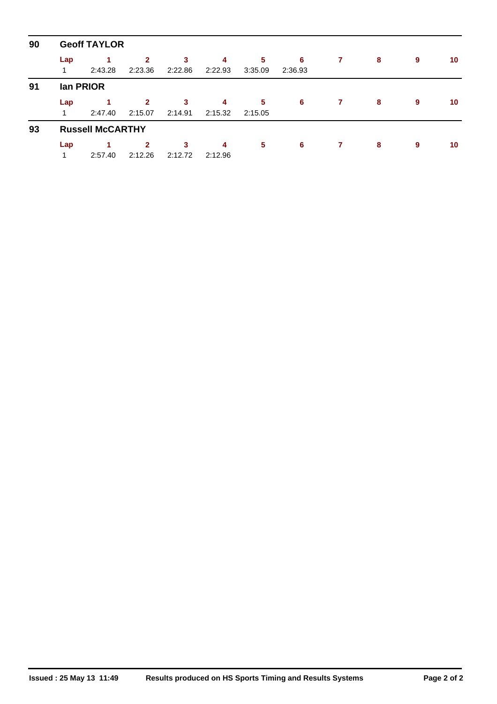| 90 | <b>Geoff TAYLOR</b> |                         |                           |              |              |              |              |   |   |   |    |  |  |  |
|----|---------------------|-------------------------|---------------------------|--------------|--------------|--------------|--------------|---|---|---|----|--|--|--|
|    | Lap<br>1            | 2:43.28                 | $\mathbf{2}$<br>2:23.36   | 3<br>2:22.86 | 4<br>2:22.93 | 5<br>3:35.09 | 6<br>2:36.93 | 7 | 8 | 9 | 10 |  |  |  |
| 91 |                     | lan PRIOR               |                           |              |              |              |              |   |   |   |    |  |  |  |
|    | Lap<br>1            | 2:47.40                 | $\overline{2}$<br>2:15.07 | 3<br>2:14.91 | 4<br>2:15.32 | 5<br>2:15.05 | 6            | 7 | 8 | 9 | 10 |  |  |  |
| 93 |                     | <b>Russell McCARTHY</b> |                           |              |              |              |              |   |   |   |    |  |  |  |
|    | Lap                 |                         | $\overline{2}$            | 3            | 4            | 5            | 6            | 7 | 8 | 9 | 10 |  |  |  |
|    | 1                   | 2:57.40                 | 2:12.26                   | 2:12.72      | 2:12.96      |              |              |   |   |   |    |  |  |  |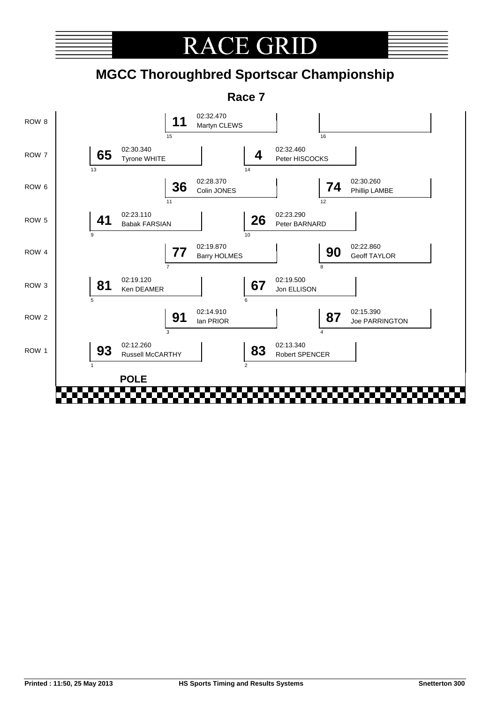

# **RACE GRI**

# **MGCC Thoroughbred Sportscar Championship**

**Race 7**

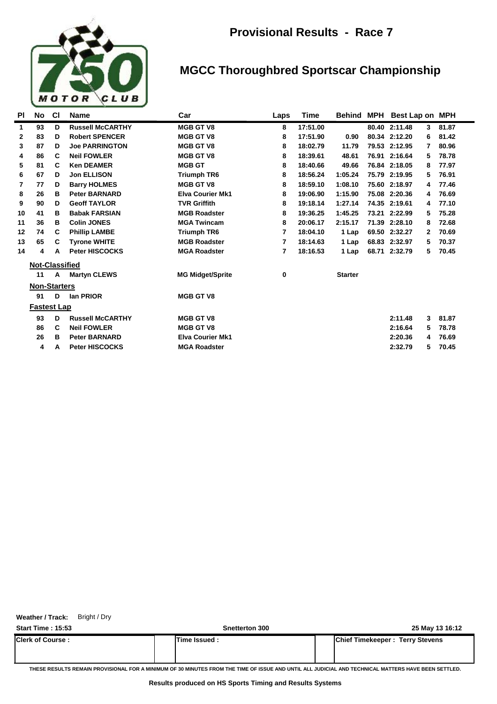

#### **MGCC Thoroughbred Sportscar Championship**

| PI           | No                    | <b>CI</b> | <b>Name</b>             | Car                     | Laps | Time     | Behind         | MPH Best Lap on MPH |   |       |
|--------------|-----------------------|-----------|-------------------------|-------------------------|------|----------|----------------|---------------------|---|-------|
| 1            | 93                    | D         | <b>Russell McCARTHY</b> | <b>MGB GT V8</b>        | 8    | 17:51.00 |                | 80.40 2:11.48       | 3 | 81.87 |
| $\mathbf{2}$ | 83                    | D         | <b>Robert SPENCER</b>   | <b>MGB GT V8</b>        | 8    | 17:51.90 | 0.90           | 80.34 2:12.20       | 6 | 81.42 |
| 3            | 87                    | D         | <b>Joe PARRINGTON</b>   | <b>MGB GT V8</b>        | 8    | 18:02.79 | 11.79          | 79.53 2:12.95       | 7 | 80.96 |
| 4            | 86                    | C         | <b>Neil FOWLER</b>      | <b>MGB GT V8</b>        | 8    | 18:39.61 | 48.61          | 76.91 2:16.64       | 5 | 78.78 |
| 5            | 81                    | C         | <b>Ken DEAMER</b>       | <b>MGB GT</b>           | 8    | 18:40.66 | 49.66          | 76.84 2:18.05       | 8 | 77.97 |
| 6            | 67                    | D         | <b>Jon ELLISON</b>      | <b>Triumph TR6</b>      | 8    | 18:56.24 | 1:05.24        | 75.79 2:19.95       | 5 | 76.91 |
| 7            | 77                    | D         | <b>Barry HOLMES</b>     | <b>MGB GT V8</b>        | 8    | 18:59.10 | 1:08.10        | 75.60 2:18.97       | 4 | 77.46 |
| 8            | 26                    | в         | <b>Peter BARNARD</b>    | <b>Elva Courier Mk1</b> | 8    | 19:06.90 | 1:15.90        | 75.08 2:20.36       | 4 | 76.69 |
| 9            | 90                    | D         | <b>Geoff TAYLOR</b>     | <b>TVR Griffith</b>     | 8    | 19:18.14 | 1:27.14        | 74.35 2:19.61       | 4 | 77.10 |
| 10           | 41                    | в         | <b>Babak FARSIAN</b>    | <b>MGB Roadster</b>     | 8    | 19:36.25 | 1:45.25        | 73.21 2:22.99       | 5 | 75.28 |
| 11           | 36                    | в         | <b>Colin JONES</b>      | <b>MGA Twincam</b>      | 8    | 20:06.17 | 2:15.17        | 71.39 2:28.10       | 8 | 72.68 |
| 12           | 74                    | C         | <b>Phillip LAMBE</b>    | <b>Triumph TR6</b>      | 7    | 18:04.10 | 1 Lap          | 69.50 2:32.27       | 2 | 70.69 |
| 13           | 65                    | C         | <b>Tyrone WHITE</b>     | <b>MGB Roadster</b>     | 7    | 18:14.63 | 1 Lap          | 68.83 2:32.97       | 5 | 70.37 |
| 14           | 4                     | A         | <b>Peter HISCOCKS</b>   | <b>MGA Roadster</b>     | 7    | 18:16.53 | 1 Lap          | 68.71 2:32.79       | 5 | 70.45 |
|              | <b>Not-Classified</b> |           |                         |                         |      |          |                |                     |   |       |
|              | 11                    | A         | <b>Martyn CLEWS</b>     | <b>MG Midget/Sprite</b> | 0    |          | <b>Starter</b> |                     |   |       |
|              | <b>Non-Starters</b>   |           |                         |                         |      |          |                |                     |   |       |
|              | 91                    | D         | lan PRIOR               | <b>MGB GT V8</b>        |      |          |                |                     |   |       |
|              | <b>Fastest Lap</b>    |           |                         |                         |      |          |                |                     |   |       |
|              | 93                    | D         | <b>Russell McCARTHY</b> | <b>MGB GT V8</b>        |      |          |                | 2:11.48             | 3 | 81.87 |
|              | 86                    | C         | <b>Neil FOWLER</b>      | <b>MGB GT V8</b>        |      |          |                | 2:16.64             | 5 | 78.78 |
|              | 26                    | в         | <b>Peter BARNARD</b>    | <b>Elva Courier Mk1</b> |      |          |                | 2:20.36             | 4 | 76.69 |
|              | 4                     | A         | <b>Peter HISCOCKS</b>   | <b>MGA Roadster</b>     |      |          |                | 2:32.79             | 5 | 70.45 |
|              |                       |           |                         |                         |      |          |                |                     |   |       |

**Weather / Track:** Bright / Dry

**Start Time : 15:53 Snetterton 300 25 May 13 16:12 Clerk of Course : Time Issued : Chief Timekeeper : Terry Stevens**

**THESE RESULTS REMAIN PROVISIONAL FOR A MINIMUM OF 30 MINUTES FROM THE TIME OF ISSUE AND UNTIL ALL JUDICIAL AND TECHNICAL MATTERS HAVE BEEN SETTLED.**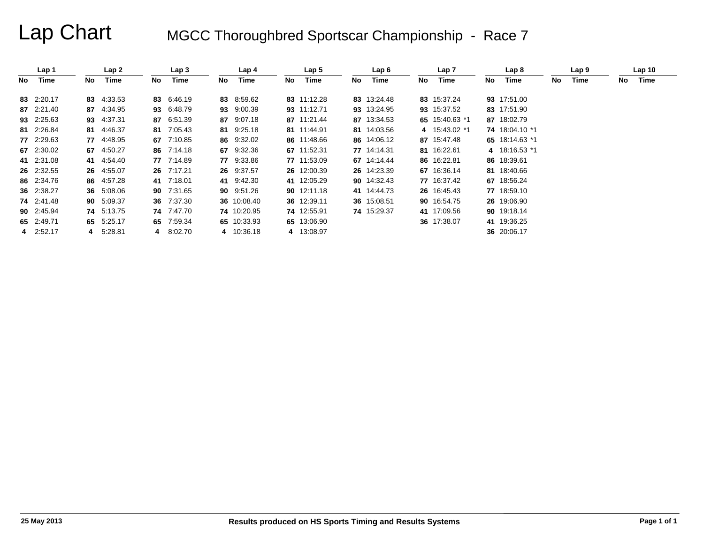# Lap Chart MGCC Thoroughbred Sportscar Championship - Race 7

|    | Lap 1      |     | Lap 2      |      | Lap 3      |     | Lap 4       |    | Lap <sub>5</sub> |    | Lap 6       |    | Lap 7          |     | Lap 8          |     | Lap 9 |    | Lap <sub>10</sub> |  |
|----|------------|-----|------------|------|------------|-----|-------------|----|------------------|----|-------------|----|----------------|-----|----------------|-----|-------|----|-------------------|--|
| No | Time       | No. | Time       | No l | Time       | No. | Time        | No | Time             | No | Time        | No | Time           | No. | Time           | No. | Time  | No | Time              |  |
|    | 83 2:20.17 |     | 83 4:33.53 |      | 83 6:46.19 |     | 83 8:59.62  |    | 83 11:12.28      |    | 83 13:24.48 |    | 83 15:37.24    |     | 93 17:51.00    |     |       |    |                   |  |
|    | 87 2:21.40 |     | 87 4:34.95 |      | 93 6:48.79 |     | 93 9:00.39  |    | 93 11:12.71      |    | 93 13:24.95 |    | 93 15:37.52    |     | 83 17:51.90    |     |       |    |                   |  |
|    | 93 2:25.63 |     | 93 4:37.31 |      | 87 6:51.39 |     | 87 9:07.18  |    | 87 11:21.44      |    | 87 13:34.53 |    | 65 15:40.63 *1 |     | 87 18:02.79    |     |       |    |                   |  |
|    | 81 2:26.84 |     | 81 4:46.37 |      | 81 7:05.43 |     | 81 9:25.18  |    | 81 11:44.91      |    | 81 14:03.56 |    | 4 15:43.02 *1  |     | 74 18:04.10 *1 |     |       |    |                   |  |
|    | 77 2:29.63 |     | 77 4:48.95 |      | 67 7:10.85 |     | 86 9:32.02  |    | 86 11:48.66      |    | 86 14:06.12 |    | 87 15:47.48    |     | 65 18:14.63 *1 |     |       |    |                   |  |
|    | 67 2:30.02 |     | 67 4:50.27 |      | 86 7:14.18 |     | 67 9:32.36  |    | 67 11:52.31      |    | 77 14:14.31 |    | 81 16:22.61    |     | 4 18:16.53 *1  |     |       |    |                   |  |
|    | 41 2:31.08 |     | 41 4:54.40 |      | 77 7:14.89 |     | 77 9:33.86  |    | 77 11:53.09      |    | 67 14:14.44 |    | 86 16:22.81    |     | 86 18:39.61    |     |       |    |                   |  |
|    | 26 2:32.55 |     | 26 4:55.07 |      | 26 7:17.21 |     | 26 9:37.57  |    | 26 12:00.39      |    | 26 14:23.39 |    | 67 16:36.14    |     | 81 18:40.66    |     |       |    |                   |  |
|    | 86 2:34.76 |     | 86 4:57.28 |      | 41 7:18.01 |     | 41 9:42.30  |    | 41 12:05.29      |    | 90 14:32.43 |    | 77 16:37.42    |     | 67 18:56.24    |     |       |    |                   |  |
|    | 36 2:38.27 |     | 36 5:08.06 |      | 90 7:31.65 |     | 90 9:51.26  |    | 90 12:11.18      |    | 41 14:44.73 |    | 26 16:45.43    |     | 77 18:59.10    |     |       |    |                   |  |
|    | 74 2:41.48 |     | 90 5:09.37 |      | 36 7:37.30 |     | 36 10:08.40 |    | 36 12:39.11      |    | 36 15:08.51 |    | 90 16:54.75    |     | 26 19:06.90    |     |       |    |                   |  |
|    | 90 2:45.94 |     | 74 5:13.75 |      | 74 7:47.70 |     | 74 10:20.95 |    | 74 12:55.91      |    | 74 15:29.37 |    | 41 17:09.56    |     | 90 19:18.14    |     |       |    |                   |  |
|    | 65 2:49.71 |     | 65 5:25.17 |      | 65 7:59.34 |     | 65 10:33.93 |    | 65 13:06.90      |    |             |    | 36 17:38.07    |     | 41 19:36.25    |     |       |    |                   |  |
|    | 4 2:52.17  |     | 4 5:28.81  |      | 4 8:02.70  |     | 4 10:36.18  |    | 4 13:08.97       |    |             |    |                |     | 36 20:06.17    |     |       |    |                   |  |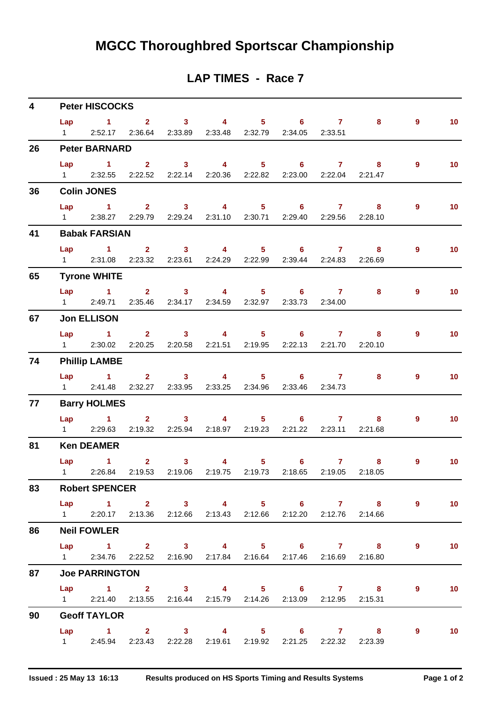#### **LAP TIMES - Race 7**

| $\overline{\mathbf{4}}$ |     | <b>Peter HISCOCKS</b> |                                                                   |  |  |                                                                   |                |                 |
|-------------------------|-----|-----------------------|-------------------------------------------------------------------|--|--|-------------------------------------------------------------------|----------------|-----------------|
|                         |     |                       |                                                                   |  |  | Lap 1 2 3 4 5 6 7 8                                               | $9^{\circ}$    | 10              |
|                         |     |                       | 1 2:52.17 2:36.64 2:33.89 2:33.48 2:32.79 2:34.05 2:33.51         |  |  |                                                                   |                |                 |
| 26                      |     | <b>Peter BARNARD</b>  |                                                                   |  |  |                                                                   |                |                 |
|                         | Lap |                       |                                                                   |  |  | 1 2 3 4 5 6 7 8                                                   | $9^{\circ}$    | 10 <sub>1</sub> |
|                         |     |                       | 1 2:32.55 2:22.52 2:22.14 2:20.36 2:22.82 2:23.00 2:22.04 2:21.47 |  |  |                                                                   |                |                 |
| 36                      |     | <b>Colin JONES</b>    |                                                                   |  |  |                                                                   |                |                 |
|                         |     |                       |                                                                   |  |  | Lap 1 2 3 4 5 6 7 8                                               | $9^{\circ}$    | 10              |
|                         |     |                       | 1 2:38.27 2:29.79 2:29.24 2:31.10 2:30.71 2:29.40 2:29.56 2:28.10 |  |  |                                                                   |                |                 |
| 41                      |     | <b>Babak FARSIAN</b>  |                                                                   |  |  |                                                                   |                |                 |
|                         |     |                       |                                                                   |  |  | Lap 1 2 3 4 5 6 7 8                                               | 9              | 10              |
|                         |     |                       | 1 2:31.08 2:23.32 2:23.61 2:24.29 2:22.99 2:39.44 2:24.83 2:26.69 |  |  |                                                                   |                |                 |
| 65                      |     | <b>Tyrone WHITE</b>   |                                                                   |  |  |                                                                   |                |                 |
|                         |     |                       |                                                                   |  |  | Lap 1 2 3 4 5 6 7 8                                               | $\overline{9}$ | 10              |
|                         |     |                       | 1 2:49.71 2:35.46 2:34.17 2:34.59 2:32.97 2:33.73 2:34.00         |  |  |                                                                   |                |                 |
| 67                      |     | <b>Jon ELLISON</b>    |                                                                   |  |  |                                                                   |                |                 |
|                         |     |                       |                                                                   |  |  | Lap 1 2 3 4 5 6 7 8                                               | - 9            | 10 <sub>1</sub> |
|                         |     |                       | 1 2:30.02 2:20.25 2:20.58 2:21.51 2:19.95 2:22.13 2:21.70 2:20.10 |  |  |                                                                   |                |                 |
| 74                      |     | <b>Phillip LAMBE</b>  |                                                                   |  |  |                                                                   |                |                 |
|                         |     |                       | Lap 1 2 3 4 5 6 7 8                                               |  |  |                                                                   | $\overline{9}$ | 10 <sub>1</sub> |
|                         |     |                       | 1 2:41.48 2:32.27 2:33.95 2:33.25 2:34.96 2:33.46 2:34.73         |  |  |                                                                   |                |                 |
| 77                      |     | <b>Barry HOLMES</b>   |                                                                   |  |  |                                                                   |                |                 |
|                         |     |                       |                                                                   |  |  | Lap 1 2 3 4 5 6 7 8                                               | 9              | 10 <sub>1</sub> |
|                         |     |                       | 1 2:29.63 2:19.32 2:25.94 2:18.97 2:19.23 2:21.22 2:23.11 2:21.68 |  |  |                                                                   |                |                 |
| 81                      |     | <b>Ken DEAMER</b>     |                                                                   |  |  |                                                                   |                |                 |
|                         |     | Lap 1                 |                                                                   |  |  | $2 \qquad 3 \qquad 4 \qquad 5 \qquad 6 \qquad 7 \qquad 8$         | $\overline{9}$ | 10              |
|                         |     |                       |                                                                   |  |  | 1 2:26.84 2:19.53 2:19.06 2:19.75 2:19.73 2:18.65 2:19.05 2:18.05 |                |                 |
| 83                      |     | <b>Robert SPENCER</b> |                                                                   |  |  |                                                                   |                |                 |
|                         |     |                       |                                                                   |  |  | Lap 1 2 3 4 5 6 7 8                                               | $\overline{9}$ | $\sim$ 10       |
|                         |     |                       | 1 2:20.17 2:13.36 2:12.66 2:13.43 2:12.66 2:12.20 2:12.76 2:14.66 |  |  |                                                                   |                |                 |
| 86                      |     | <b>Neil FOWLER</b>    |                                                                   |  |  |                                                                   |                |                 |
|                         |     |                       |                                                                   |  |  | Lap 1 2 3 4 5 6 7 8                                               | $\overline{9}$ | 10              |
|                         |     |                       | 1 2:34.76 2:22.52 2:16.90 2:17.84 2:16.64 2:17.46 2:16.69 2:16.80 |  |  |                                                                   |                |                 |
| 87                      |     | <b>Joe PARRINGTON</b> |                                                                   |  |  |                                                                   |                |                 |
|                         |     |                       |                                                                   |  |  | Lap 1 2 3 4 5 6 7 8                                               | $\overline{9}$ | 10              |
|                         |     |                       | 1 2:21.40 2:13.55 2:16.44 2:15.79 2:14.26 2:13.09 2:12.95 2:15.31 |  |  |                                                                   |                |                 |
| 90                      |     | <b>Geoff TAYLOR</b>   |                                                                   |  |  |                                                                   |                |                 |
|                         |     |                       |                                                                   |  |  | Lap 1 2 3 4 5 6 7 8 9                                             |                | 10              |
|                         |     |                       | 1 2:45.94 2:23.43 2:22.28 2:19.61 2:19.92 2:21.25 2:22.32 2:23.39 |  |  |                                                                   |                |                 |